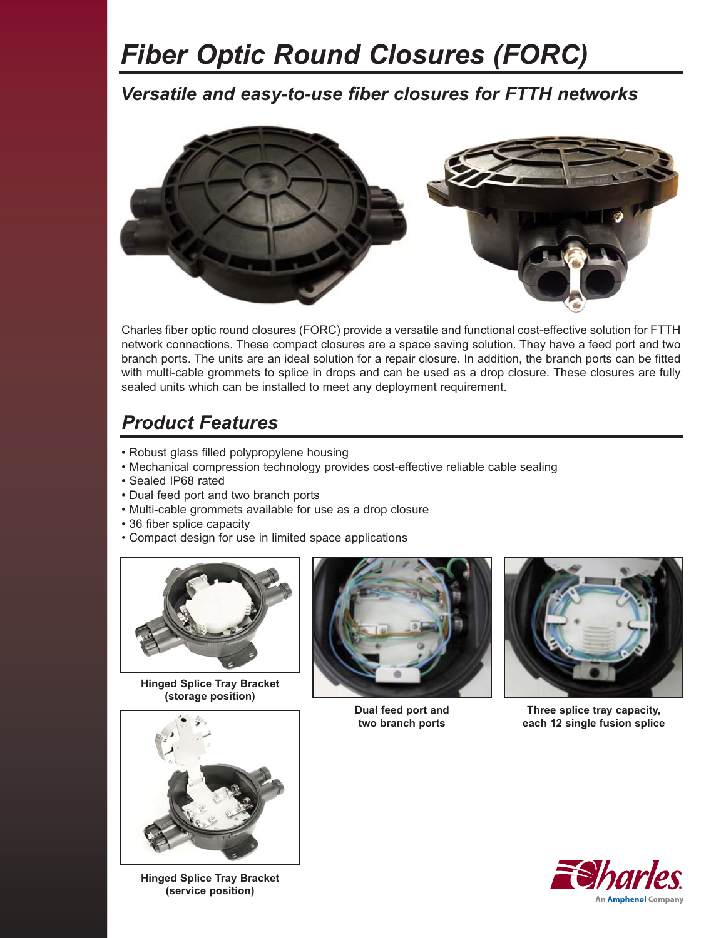# *Fiber Optic Round Closures (FORC)*

*Versatile and easy-to-use fiber closures for FTTH networks* 



Charles fiber optic round closures (FORC) provide a versatile and functional cost-effective solution for FTTH network connections. These compact closures are a space saving solution. They have a feed port and two branch ports. The units are an ideal solution for a repair closure. In addition, the branch ports can be fitted with multi-cable grommets to splice in drops and can be used as a drop closure. These closures are fully sealed units which can be installed to meet any deployment requirement.

#### *Product Features*

- Robust glass filled polypropylene housing
- Mechanical compression technology provides cost-effective reliable cable sealing
- Sealed IP68 rated
- Dual feed port and two branch ports
- Multi-cable grommets available for use as a drop closure
- 36 fiber splice capacity
- Compact design for use in limited space applications



**Hinged Splice Tray Bracket (storage position)**



**Hinged Splice Tray Bracket (service position)**



**Dual feed port and two branch ports**



**Three splice tray capacity, each 12 single fusion splice**